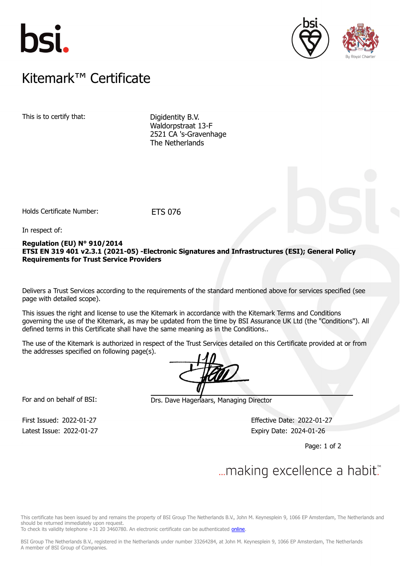





### $K$ itemark $W$  Certificate Kitemark™ Certificate

This is to certify that: Digidentity B.V.

Waldorpstraat 13-F 2521 CA 's-Gravenhage The Netherlands

Holds Certificate Number: ETS 076

In respect of:

### **Regulation (EU) N° 910/2014 ETSI EN 319 401 v2.3.1 (2021-05) -Electronic Signatures and Infrastructures (ESI); General Policy Requirements for Trust Service Providers**

Delivers a Trust Services according to the requirements of the standard mentioned above for services specified (see page with detailed scope).

This issues the right and license to use the Kitemark in accordance with the Kitemark Terms and Conditions governing the use of the Kitemark, as may be updated from the time by BSI Assurance UK Ltd (the "Conditions"). All defined terms in this Certificate shall have the same meaning as in the Conditions..

The use of the Kitemark is authorized in respect of the Trust Services detailed on this Certificate provided at or from the addresses specified on following page(s).

For and on behalf of BSI: Drs. Dave Hagenaars, Managing Director

Latest Issue: 2022-01-27 Expiry Date: 2024-01-26

First Issued: 2022-01-27 Effective Date: 2022-01-27

Page: 1 of 2

# ... making excellence a habit.

This certificate has been issued by and remains the property of BSI Group The Netherlands B.V., John M. Keynesplein 9, 1066 EP Amsterdam, The Netherlands and should be returned immediately upon request.

To check its validity telephone +31 20 3460780. An electronic certificate can be authenticated [online.](https://pgplus.bsigroup.com/CertificateValidation/CertificateValidator.aspx?CertificateNumber=ETS+076&ReIssueDate=27%2f01%2f2022&Template=uk)

BSI Group The Netherlands B.V., registered in the Netherlands under number 33264284, at John M. Keynesplein 9, 1066 EP Amsterdam, The Netherlands A member of BSI Group of Companies.